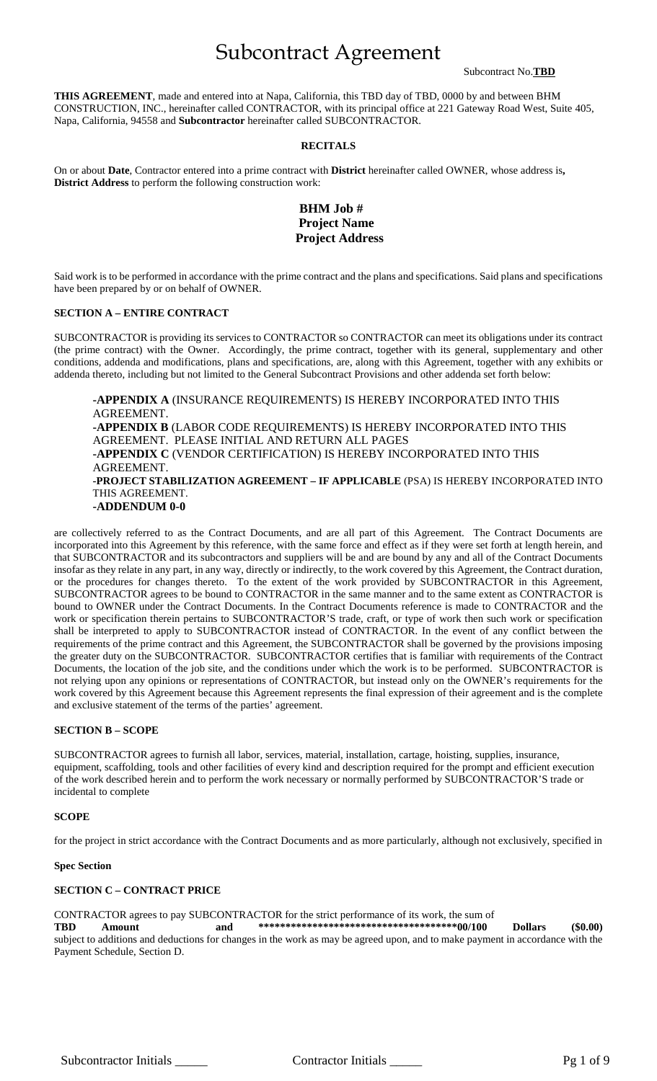# Subcontract Agreement

Subcontract No.**TBD**

**THIS AGREEMENT**, made and entered into at Napa, California, this TBD day of TBD, 0000 by and between BHM CONSTRUCTION, INC., hereinafter called CONTRACTOR, with its principal office at 221 Gateway Road West, Suite 405, Napa, California, 94558 and **Subcontractor** hereinafter called SUBCONTRACTOR.

#### **RECITALS**

On or about **Date**, Contractor entered into a prime contract with **District** hereinafter called OWNER, whose address is**, District Address** to perform the following construction work:

# **BHM Job # Project Name Project Address**

Said work is to be performed in accordance with the prime contract and the plans and specifications. Said plans and specifications have been prepared by or on behalf of OWNER.

#### **SECTION A – ENTIRE CONTRACT**

SUBCONTRACTOR is providing its services to CONTRACTOR so CONTRACTOR can meet its obligations under its contract (the prime contract) with the Owner. Accordingly, the prime contract, together with its general, supplementary and other conditions, addenda and modifications, plans and specifications, are, along with this Agreement, together with any exhibits or addenda thereto, including but not limited to the General Subcontract Provisions and other addenda set forth below:

**-APPENDIX A** (INSURANCE REQUIREMENTS) IS HEREBY INCORPORATED INTO THIS AGREEMENT. **-APPENDIX B** (LABOR CODE REQUIREMENTS) IS HEREBY INCORPORATED INTO THIS AGREEMENT. PLEASE INITIAL AND RETURN ALL PAGES **-APPENDIX C** (VENDOR CERTIFICATION) IS HEREBY INCORPORATED INTO THIS AGREEMENT. **-PROJECT STABILIZATION AGREEMENT – IF APPLICABLE** (PSA) IS HEREBY INCORPORATED INTO THIS AGREEMENT. **-ADDENDUM 0-0**

are collectively referred to as the Contract Documents, and are all part of this Agreement. The Contract Documents are incorporated into this Agreement by this reference, with the same force and effect as if they were set forth at length herein, and that SUBCONTRACTOR and its subcontractors and suppliers will be and are bound by any and all of the Contract Documents insofar as they relate in any part, in any way, directly or indirectly, to the work covered by this Agreement, the Contract duration, or the procedures for changes thereto. To the extent of the work provided by SUBCONTRACTOR in this Agreement, SUBCONTRACTOR agrees to be bound to CONTRACTOR in the same manner and to the same extent as CONTRACTOR is bound to OWNER under the Contract Documents. In the Contract Documents reference is made to CONTRACTOR and the work or specification therein pertains to SUBCONTRACTOR'S trade, craft, or type of work then such work or specification shall be interpreted to apply to SUBCONTRACTOR instead of CONTRACTOR. In the event of any conflict between the requirements of the prime contract and this Agreement, the SUBCONTRACTOR shall be governed by the provisions imposing the greater duty on the SUBCONTRACTOR. SUBCONTRACTOR certifies that is familiar with requirements of the Contract Documents, the location of the job site, and the conditions under which the work is to be performed. SUBCONTRACTOR is not relying upon any opinions or representations of CONTRACTOR, but instead only on the OWNER's requirements for the work covered by this Agreement because this Agreement represents the final expression of their agreement and is the complete and exclusive statement of the terms of the parties' agreement.

#### **SECTION B – SCOPE**

SUBCONTRACTOR agrees to furnish all labor, services, material, installation, cartage, hoisting, supplies, insurance, equipment, scaffolding, tools and other facilities of every kind and description required for the prompt and efficient execution of the work described herein and to perform the work necessary or normally performed by SUBCONTRACTOR'S trade or incidental to complete

#### **SCOPE**

for the project in strict accordance with the Contract Documents and as more particularly, although not exclusively, specified in

#### **Spec Section**

#### **SECTION C – CONTRACT PRICE**

CONTRACTOR agrees to pay SUBCONTRACTOR for the strict performance of its work, the sum of **TBD Amount and \*\*\*\*\*\*\*\*\*\*\*\*\*\*\*\*\*\*\*\*\*\*\*\*\*\*\*\*\*\*\*\*\*\*\*\*\*00/100 Dollars (\$0.00)** subject to additions and deductions for changes in the work as may be agreed upon, and to make payment in accordance with the Payment Schedule, Section D.

Subcontractor Initials \_\_\_\_\_\_ Contractor Initials \_\_\_\_\_ Pg 1 of 9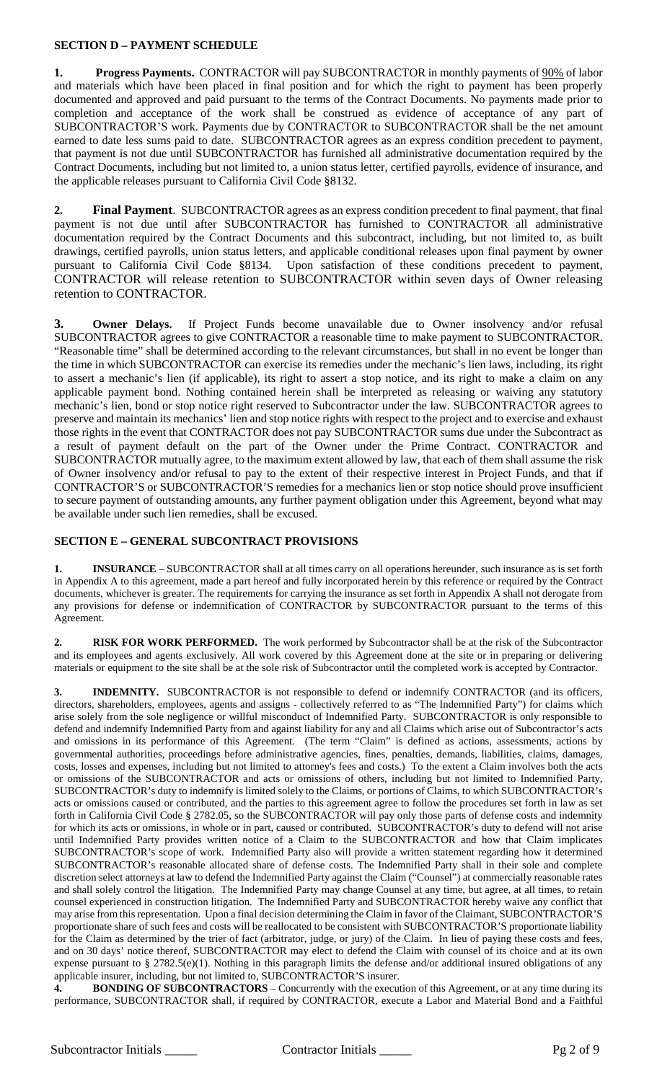## **SECTION D – PAYMENT SCHEDULE**

**1. Progress Payments.** CONTRACTOR will pay SUBCONTRACTOR in monthly payments of  $\frac{90\%}{90\%}$  of labor and materials which have been placed in final position and for which the right to payment has been properly documented and approved and paid pursuant to the terms of the Contract Documents. No payments made prior to completion and acceptance of the work shall be construed as evidence of acceptance of any part of SUBCONTRACTOR'S work. Payments due by CONTRACTOR to SUBCONTRACTOR shall be the net amount earned to date less sums paid to date. SUBCONTRACTOR agrees as an express condition precedent to payment, that payment is not due until SUBCONTRACTOR has furnished all administrative documentation required by the Contract Documents, including but not limited to, a union status letter, certified payrolls, evidence of insurance, and the applicable releases pursuant to California Civil Code §8132.

**2. Final Payment**. SUBCONTRACTOR agrees as an express condition precedent to final payment, that final payment is not due until after SUBCONTRACTOR has furnished to CONTRACTOR all administrative documentation required by the Contract Documents and this subcontract, including, but not limited to, as built drawings, certified payrolls, union status letters, and applicable conditional releases upon final payment by owner pursuant to California Civil Code §8134. Upon satisfaction of these conditions precedent to payment, CONTRACTOR will release retention to SUBCONTRACTOR within seven days of Owner releasing retention to CONTRACTOR.

**3. Owner Delays.** If Project Funds become unavailable due to Owner insolvency and/or refusal SUBCONTRACTOR agrees to give CONTRACTOR a reasonable time to make payment to SUBCONTRACTOR. "Reasonable time" shall be determined according to the relevant circumstances, but shall in no event be longer than the time in which SUBCONTRACTOR can exercise its remedies under the mechanic's lien laws, including, its right to assert a mechanic's lien (if applicable), its right to assert a stop notice, and its right to make a claim on any applicable payment bond. Nothing contained herein shall be interpreted as releasing or waiving any statutory mechanic's lien, bond or stop notice right reserved to Subcontractor under the law. SUBCONTRACTOR agrees to preserve and maintain its mechanics' lien and stop notice rights with respect to the project and to exercise and exhaust those rights in the event that CONTRACTOR does not pay SUBCONTRACTOR sums due under the Subcontract as a result of payment default on the part of the Owner under the Prime Contract. CONTRACTOR and SUBCONTRACTOR mutually agree, to the maximum extent allowed by law, that each of them shall assume the risk of Owner insolvency and/or refusal to pay to the extent of their respective interest in Project Funds, and that if CONTRACTOR'S or SUBCONTRACTOR'S remedies for a mechanics lien or stop notice should prove insufficient to secure payment of outstanding amounts, any further payment obligation under this Agreement, beyond what may be available under such lien remedies, shall be excused.

### **SECTION E – GENERAL SUBCONTRACT PROVISIONS**

**1. INSURANCE** – SUBCONTRACTOR shall at all times carry on all operations hereunder, such insurance as is set forth in Appendix A to this agreement, made a part hereof and fully incorporated herein by this reference or required by the Contract documents, whichever is greater. The requirements for carrying the insurance as set forth in Appendix A shall not derogate from any provisions for defense or indemnification of CONTRACTOR by SUBCONTRACTOR pursuant to the terms of this Agreement.

**2. RISK FOR WORK PERFORMED.** The work performed by Subcontractor shall be at the risk of the Subcontractor and its employees and agents exclusively. All work covered by this Agreement done at the site or in preparing or delivering materials or equipment to the site shall be at the sole risk of Subcontractor until the completed work is accepted by Contractor.

**3. INDEMNITY.** SUBCONTRACTOR is not responsible to defend or indemnify CONTRACTOR (and its officers, directors, shareholders, employees, agents and assigns - collectively referred to as "The Indemnified Party") for claims which arise solely from the sole negligence or willful misconduct of Indemnified Party. SUBCONTRACTOR is only responsible to defend and indemnify Indemnified Party from and against liability for any and all Claims which arise out of Subcontractor's acts and omissions in its performance of this Agreement. (The term "Claim" is defined as actions, assessments, actions by governmental authorities, proceedings before administrative agencies, fines, penalties, demands, liabilities, claims, damages, costs, losses and expenses, including but not limited to attorney's fees and costs.) To the extent a Claim involves both the acts or omissions of the SUBCONTRACTOR and acts or omissions of others, including but not limited to Indemnified Party, SUBCONTRACTOR's duty to indemnify is limited solely to the Claims, or portions of Claims, to which SUBCONTRACTOR's acts or omissions caused or contributed, and the parties to this agreement agree to follow the procedures set forth in law as set forth in California Civil Code § 2782.05, so the SUBCONTRACTOR will pay only those parts of defense costs and indemnity for which its acts or omissions, in whole or in part, caused or contributed. SUBCONTRACTOR's duty to defend will not arise until Indemnified Party provides written notice of a Claim to the SUBCONTRACTOR and how that Claim implicates SUBCONTRACTOR's scope of work. Indemnified Party also will provide a written statement regarding how it determined SUBCONTRACTOR's reasonable allocated share of defense costs. The Indemnified Party shall in their sole and complete discretion select attorneys at law to defend the Indemnified Party against the Claim ("Counsel") at commercially reasonable rates and shall solely control the litigation. The Indemnified Party may change Counsel at any time, but agree, at all times, to retain counsel experienced in construction litigation. The Indemnified Party and SUBCONTRACTOR hereby waive any conflict that may arise from this representation. Upon a final decision determining the Claim in favor of the Claimant, SUBCONTRACTOR'S proportionate share of such fees and costs will be reallocated to be consistent with SUBCONTRACTOR'S proportionate liability for the Claim as determined by the trier of fact (arbitrator, judge, or jury) of the Claim. In lieu of paying these costs and fees, and on 30 days' notice thereof, SUBCONTRACTOR may elect to defend the Claim with counsel of its choice and at its own expense pursuant to § 2782.5(e)(1). Nothing in this paragraph limits the defense and/or additional insured obligations of any applicable insurer, including, but not limited to, SUBCONTRACTOR'S insurer.

**4. BONDING OF SUBCONTRACTORS** – Concurrently with the execution of this Agreement, or at any time during its performance, SUBCONTRACTOR shall, if required by CONTRACTOR, execute a Labor and Material Bond and a Faithful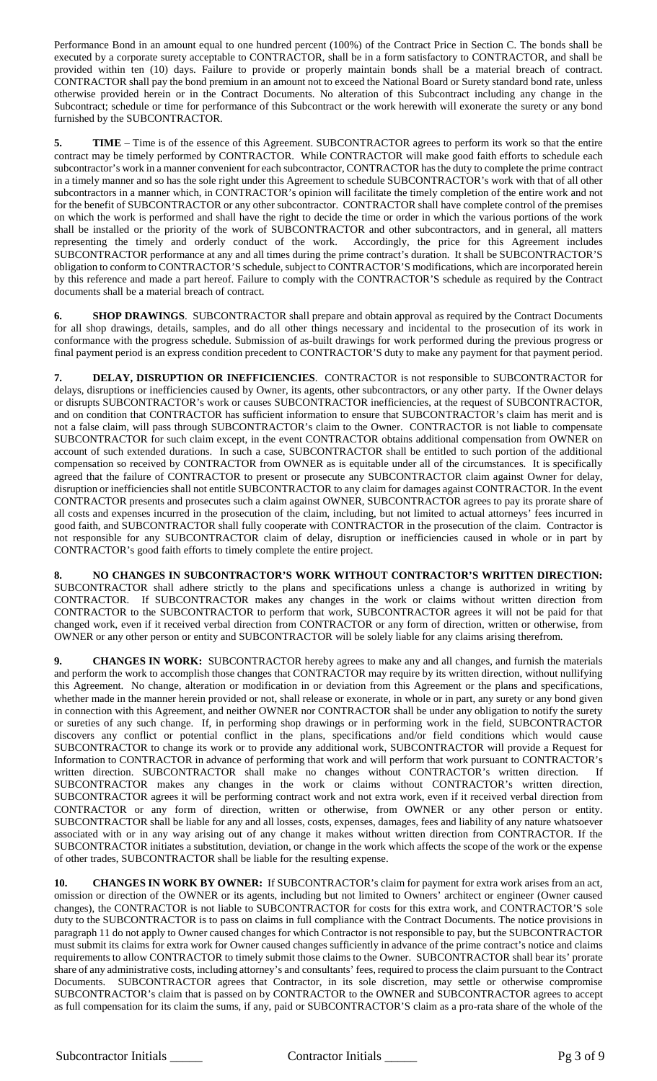Performance Bond in an amount equal to one hundred percent (100%) of the Contract Price in Section C. The bonds shall be executed by a corporate surety acceptable to CONTRACTOR, shall be in a form satisfactory to CONTRACTOR, and shall be provided within ten (10) days. Failure to provide or properly maintain bonds shall be a material breach of contract. CONTRACTOR shall pay the bond premium in an amount not to exceed the National Board or Surety standard bond rate, unless otherwise provided herein or in the Contract Documents. No alteration of this Subcontract including any change in the Subcontract; schedule or time for performance of this Subcontract or the work herewith will exonerate the surety or any bond furnished by the SUBCONTRACTOR.

**5. TIME** – Time is of the essence of this Agreement. SUBCONTRACTOR agrees to perform its work so that the entire contract may be timely performed by CONTRACTOR. While CONTRACTOR will make good faith efforts to schedule each subcontractor's work in a manner convenient for each subcontractor, CONTRACTOR has the duty to complete the prime contract in a timely manner and so has the sole right under this Agreement to schedule SUBCONTRACTOR's work with that of all other subcontractors in a manner which, in CONTRACTOR's opinion will facilitate the timely completion of the entire work and not for the benefit of SUBCONTRACTOR or any other subcontractor. CONTRACTOR shall have complete control of the premises on which the work is performed and shall have the right to decide the time or order in which the various portions of the work shall be installed or the priority of the work of SUBCONTRACTOR and other subcontractors, and in general, all matters representing the timely and orderly conduct of the work. Accordingly, the price for this Agreement includes SUBCONTRACTOR performance at any and all times during the prime contract's duration. It shall be SUBCONTRACTOR'S obligation to conform to CONTRACTOR'S schedule, subject to CONTRACTOR'S modifications, which are incorporated herein by this reference and made a part hereof. Failure to comply with the CONTRACTOR'S schedule as required by the Contract documents shall be a material breach of contract.

**6. SHOP DRAWINGS**. SUBCONTRACTOR shall prepare and obtain approval as required by the Contract Documents for all shop drawings, details, samples, and do all other things necessary and incidental to the prosecution of its work in conformance with the progress schedule. Submission of as-built drawings for work performed during the previous progress or final payment period is an express condition precedent to CONTRACTOR'S duty to make any payment for that payment period.

**7. DELAY, DISRUPTION OR INEFFICIENCIES**. CONTRACTOR is not responsible to SUBCONTRACTOR for delays, disruptions or inefficiencies caused by Owner, its agents, other subcontractors, or any other party. If the Owner delays or disrupts SUBCONTRACTOR's work or causes SUBCONTRACTOR inefficiencies, at the request of SUBCONTRACTOR, and on condition that CONTRACTOR has sufficient information to ensure that SUBCONTRACTOR's claim has merit and is not a false claim, will pass through SUBCONTRACTOR's claim to the Owner. CONTRACTOR is not liable to compensate SUBCONTRACTOR for such claim except, in the event CONTRACTOR obtains additional compensation from OWNER on account of such extended durations. In such a case, SUBCONTRACTOR shall be entitled to such portion of the additional compensation so received by CONTRACTOR from OWNER as is equitable under all of the circumstances. It is specifically agreed that the failure of CONTRACTOR to present or prosecute any SUBCONTRACTOR claim against Owner for delay, disruption or inefficiencies shall not entitle SUBCONTRACTOR to any claim for damages against CONTRACTOR. In the event CONTRACTOR presents and prosecutes such a claim against OWNER, SUBCONTRACTOR agrees to pay its prorate share of all costs and expenses incurred in the prosecution of the claim, including, but not limited to actual attorneys' fees incurred in good faith, and SUBCONTRACTOR shall fully cooperate with CONTRACTOR in the prosecution of the claim. Contractor is not responsible for any SUBCONTRACTOR claim of delay, disruption or inefficiencies caused in whole or in part by CONTRACTOR's good faith efforts to timely complete the entire project.

**8. NO CHANGES IN SUBCONTRACTOR'S WORK WITHOUT CONTRACTOR'S WRITTEN DIRECTION:** SUBCONTRACTOR shall adhere strictly to the plans and specifications unless a change is authorized in writing by CONTRACTOR. If SUBCONTRACTOR makes any changes in the work or claims without written direction from CONTRACTOR to the SUBCONTRACTOR to perform that work, SUBCONTRACTOR agrees it will not be paid for that changed work, even if it received verbal direction from CONTRACTOR or any form of direction, written or otherwise, from OWNER or any other person or entity and SUBCONTRACTOR will be solely liable for any claims arising therefrom.

**9. CHANGES IN WORK:** SUBCONTRACTOR hereby agrees to make any and all changes, and furnish the materials and perform the work to accomplish those changes that CONTRACTOR may require by its written direction, without nullifying this Agreement. No change, alteration or modification in or deviation from this Agreement or the plans and specifications, whether made in the manner herein provided or not, shall release or exonerate, in whole or in part, any surety or any bond given in connection with this Agreement, and neither OWNER nor CONTRACTOR shall be under any obligation to notify the surety or sureties of any such change. If, in performing shop drawings or in performing work in the field, SUBCONTRACTOR discovers any conflict or potential conflict in the plans, specifications and/or field conditions which would cause SUBCONTRACTOR to change its work or to provide any additional work, SUBCONTRACTOR will provide a Request for Information to CONTRACTOR in advance of performing that work and will perform that work pursuant to CONTRACTOR's written direction. SUBCONTRACTOR shall make no changes without CONTRACTOR's written direction. If SUBCONTRACTOR makes any changes in the work or claims without CONTRACTOR's written direction, SUBCONTRACTOR agrees it will be performing contract work and not extra work, even if it received verbal direction from CONTRACTOR or any form of direction, written or otherwise, from OWNER or any other person or entity. SUBCONTRACTOR shall be liable for any and all losses, costs, expenses, damages, fees and liability of any nature whatsoever associated with or in any way arising out of any change it makes without written direction from CONTRACTOR. If the SUBCONTRACTOR initiates a substitution, deviation, or change in the work which affects the scope of the work or the expense of other trades, SUBCONTRACTOR shall be liable for the resulting expense.

**10. CHANGES IN WORK BY OWNER:** If SUBCONTRACTOR's claim for payment for extra work arises from an act, omission or direction of the OWNER or its agents, including but not limited to Owners' architect or engineer (Owner caused changes), the CONTRACTOR is not liable to SUBCONTRACTOR for costs for this extra work, and CONTRACTOR'S sole duty to the SUBCONTRACTOR is to pass on claims in full compliance with the Contract Documents. The notice provisions in paragraph 11 do not apply to Owner caused changes for which Contractor is not responsible to pay, but the SUBCONTRACTOR must submit its claims for extra work for Owner caused changes sufficiently in advance of the prime contract's notice and claims requirements to allow CONTRACTOR to timely submit those claims to the Owner. SUBCONTRACTOR shall bear its' prorate share of any administrative costs, including attorney's and consultants' fees, required to process the claim pursuant to the Contract Documents. SUBCONTRACTOR agrees that Contractor, in its sole discretion, may settle or otherwise compromise SUBCONTRACTOR's claim that is passed on by CONTRACTOR to the OWNER and SUBCONTRACTOR agrees to accept as full compensation for its claim the sums, if any, paid or SUBCONTRACTOR'S claim as a pro-rata share of the whole of the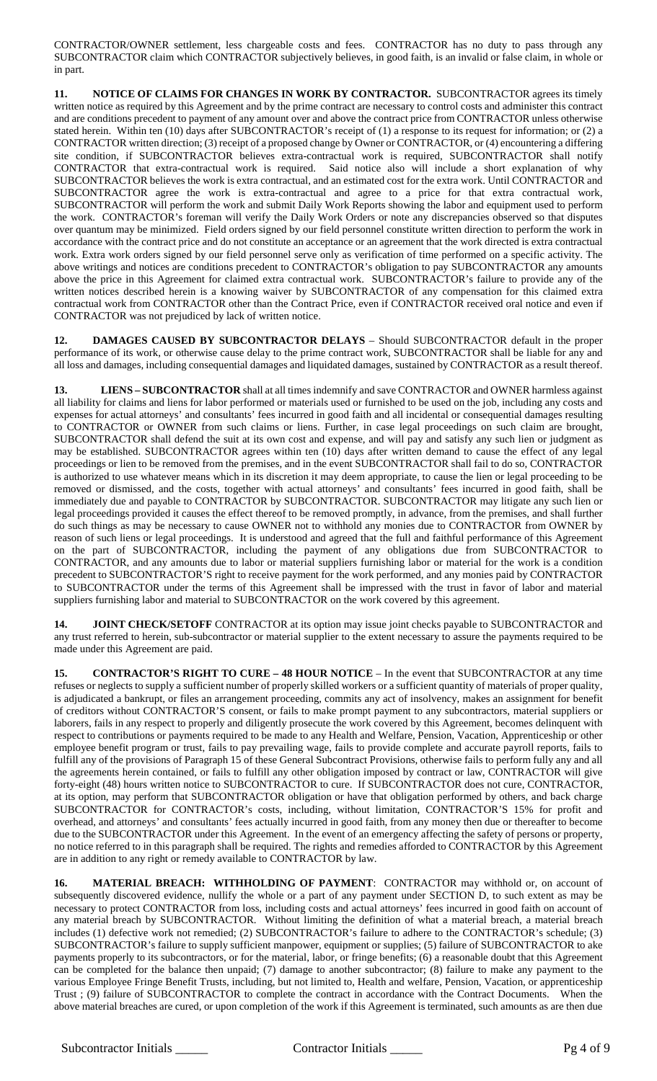CONTRACTOR/OWNER settlement, less chargeable costs and fees. CONTRACTOR has no duty to pass through any SUBCONTRACTOR claim which CONTRACTOR subjectively believes, in good faith, is an invalid or false claim, in whole or in part.

**11. NOTICE OF CLAIMS FOR CHANGES IN WORK BY CONTRACTOR.** SUBCONTRACTOR agrees its timely written notice as required by this Agreement and by the prime contract are necessary to control costs and administer this contract and are conditions precedent to payment of any amount over and above the contract price from CONTRACTOR unless otherwise stated herein. Within ten (10) days after SUBCONTRACTOR's receipt of (1) a response to its request for information; or (2) a CONTRACTOR written direction; (3) receipt of a proposed change by Owner or CONTRACTOR, or (4) encountering a differing site condition, if SUBCONTRACTOR believes extra-contractual work is required, SUBCONTRACTOR shall notify CONTRACTOR that extra-contractual work is required. Said notice also will include a short explanation of why SUBCONTRACTOR believes the work is extra contractual, and an estimated cost for the extra work. Until CONTRACTOR and SUBCONTRACTOR agree the work is extra-contractual and agree to a price for that extra contractual work, SUBCONTRACTOR will perform the work and submit Daily Work Reports showing the labor and equipment used to perform the work. CONTRACTOR's foreman will verify the Daily Work Orders or note any discrepancies observed so that disputes over quantum may be minimized. Field orders signed by our field personnel constitute written direction to perform the work in accordance with the contract price and do not constitute an acceptance or an agreement that the work directed is extra contractual work. Extra work orders signed by our field personnel serve only as verification of time performed on a specific activity. The above writings and notices are conditions precedent to CONTRACTOR's obligation to pay SUBCONTRACTOR any amounts above the price in this Agreement for claimed extra contractual work. SUBCONTRACTOR's failure to provide any of the written notices described herein is a knowing waiver by SUBCONTRACTOR of any compensation for this claimed extra contractual work from CONTRACTOR other than the Contract Price, even if CONTRACTOR received oral notice and even if CONTRACTOR was not prejudiced by lack of written notice.

**12. DAMAGES CAUSED BY SUBCONTRACTOR DELAYS** – Should SUBCONTRACTOR default in the proper performance of its work, or otherwise cause delay to the prime contract work, SUBCONTRACTOR shall be liable for any and all loss and damages, including consequential damages and liquidated damages, sustained by CONTRACTOR as a result thereof.

**13. LIENS – SUBCONTRACTOR** shall at all times indemnify and save CONTRACTOR and OWNER harmless against all liability for claims and liens for labor performed or materials used or furnished to be used on the job, including any costs and expenses for actual attorneys' and consultants' fees incurred in good faith and all incidental or consequential damages resulting to CONTRACTOR or OWNER from such claims or liens. Further, in case legal proceedings on such claim are brought, SUBCONTRACTOR shall defend the suit at its own cost and expense, and will pay and satisfy any such lien or judgment as may be established. SUBCONTRACTOR agrees within ten (10) days after written demand to cause the effect of any legal proceedings or lien to be removed from the premises, and in the event SUBCONTRACTOR shall fail to do so, CONTRACTOR is authorized to use whatever means which in its discretion it may deem appropriate, to cause the lien or legal proceeding to be removed or dismissed, and the costs, together with actual attorneys' and consultants' fees incurred in good faith, shall be immediately due and payable to CONTRACTOR by SUBCONTRACTOR. SUBCONTRACTOR may litigate any such lien or legal proceedings provided it causes the effect thereof to be removed promptly, in advance, from the premises, and shall further do such things as may be necessary to cause OWNER not to withhold any monies due to CONTRACTOR from OWNER by reason of such liens or legal proceedings. It is understood and agreed that the full and faithful performance of this Agreement on the part of SUBCONTRACTOR, including the payment of any obligations due from SUBCONTRACTOR to CONTRACTOR, and any amounts due to labor or material suppliers furnishing labor or material for the work is a condition precedent to SUBCONTRACTOR'S right to receive payment for the work performed, and any monies paid by CONTRACTOR to SUBCONTRACTOR under the terms of this Agreement shall be impressed with the trust in favor of labor and material suppliers furnishing labor and material to SUBCONTRACTOR on the work covered by this agreement.

**14. JOINT CHECK/SETOFF** CONTRACTOR at its option may issue joint checks payable to SUBCONTRACTOR and any trust referred to herein, sub-subcontractor or material supplier to the extent necessary to assure the payments required to be made under this Agreement are paid.

**15. CONTRACTOR'S RIGHT TO CURE – 48 HOUR NOTICE** – In the event that SUBCONTRACTOR at any time refuses or neglects to supply a sufficient number of properly skilled workers or a sufficient quantity of materials of proper quality, is adjudicated a bankrupt, or files an arrangement proceeding, commits any act of insolvency, makes an assignment for benefit of creditors without CONTRACTOR'S consent, or fails to make prompt payment to any subcontractors, material suppliers or laborers, fails in any respect to properly and diligently prosecute the work covered by this Agreement, becomes delinquent with respect to contributions or payments required to be made to any Health and Welfare, Pension, Vacation, Apprenticeship or other employee benefit program or trust, fails to pay prevailing wage, fails to provide complete and accurate payroll reports, fails to fulfill any of the provisions of Paragraph 15 of these General Subcontract Provisions, otherwise fails to perform fully any and all the agreements herein contained, or fails to fulfill any other obligation imposed by contract or law, CONTRACTOR will give forty-eight (48) hours written notice to SUBCONTRACTOR to cure. If SUBCONTRACTOR does not cure, CONTRACTOR, at its option, may perform that SUBCONTRACTOR obligation or have that obligation performed by others, and back charge SUBCONTRACTOR for CONTRACTOR's costs, including, without limitation, CONTRACTOR'S 15% for profit and overhead, and attorneys' and consultants' fees actually incurred in good faith, from any money then due or thereafter to become due to the SUBCONTRACTOR under this Agreement. In the event of an emergency affecting the safety of persons or property, no notice referred to in this paragraph shall be required. The rights and remedies afforded to CONTRACTOR by this Agreement are in addition to any right or remedy available to CONTRACTOR by law.

**16. MATERIAL BREACH: WITHHOLDING OF PAYMENT**: CONTRACTOR may withhold or, on account of subsequently discovered evidence, nullify the whole or a part of any payment under SECTION D, to such extent as may be necessary to protect CONTRACTOR from loss, including costs and actual attorneys' fees incurred in good faith on account of any material breach by SUBCONTRACTOR. Without limiting the definition of what a material breach, a material breach includes (1) defective work not remedied; (2) SUBCONTRACTOR's failure to adhere to the CONTRACTOR's schedule; (3) SUBCONTRACTOR's failure to supply sufficient manpower, equipment or supplies; (5) failure of SUBCONTRACTOR to ake payments properly to its subcontractors, or for the material, labor, or fringe benefits; (6) a reasonable doubt that this Agreement can be completed for the balance then unpaid; (7) damage to another subcontractor; (8) failure to make any payment to the various Employee Fringe Benefit Trusts, including, but not limited to, Health and welfare, Pension, Vacation, or apprenticeship Trust ; (9) failure of SUBCONTRACTOR to complete the contract in accordance with the Contract Documents. When the above material breaches are cured, or upon completion of the work if this Agreement is terminated, such amounts as are then due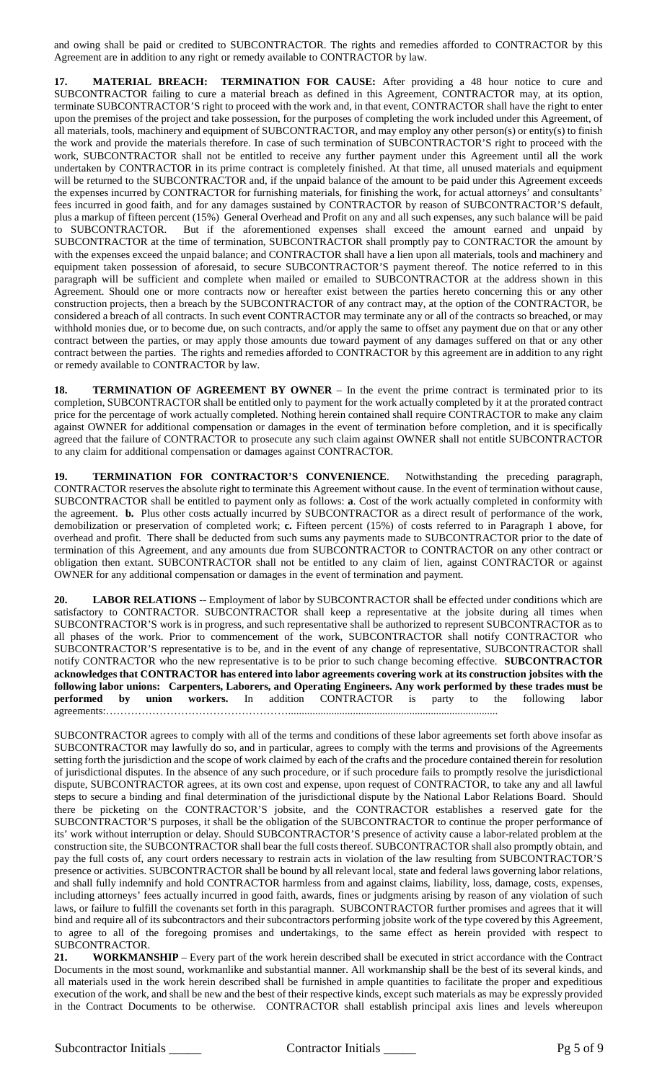and owing shall be paid or credited to SUBCONTRACTOR. The rights and remedies afforded to CONTRACTOR by this Agreement are in addition to any right or remedy available to CONTRACTOR by law.

**17. MATERIAL BREACH: TERMINATION FOR CAUSE:** After providing a 48 hour notice to cure and SUBCONTRACTOR failing to cure a material breach as defined in this Agreement, CONTRACTOR may, at its option, terminate SUBCONTRACTOR'S right to proceed with the work and, in that event, CONTRACTOR shall have the right to enter upon the premises of the project and take possession, for the purposes of completing the work included under this Agreement, of all materials, tools, machinery and equipment of SUBCONTRACTOR, and may employ any other person(s) or entity(s) to finish the work and provide the materials therefore. In case of such termination of SUBCONTRACTOR'S right to proceed with the work, SUBCONTRACTOR shall not be entitled to receive any further payment under this Agreement until all the work undertaken by CONTRACTOR in its prime contract is completely finished. At that time, all unused materials and equipment will be returned to the SUBCONTRACTOR and, if the unpaid balance of the amount to be paid under this Agreement exceeds the expenses incurred by CONTRACTOR for furnishing materials, for finishing the work, for actual attorneys' and consultants' fees incurred in good faith, and for any damages sustained by CONTRACTOR by reason of SUBCONTRACTOR'S default, plus a markup of fifteen percent (15%) General Overhead and Profit on any and all such expenses, any such balance will be paid to SUBCONTRACTOR. But if the aforementioned expenses shall exceed the amount earned and unpaid by SUBCONTRACTOR at the time of termination, SUBCONTRACTOR shall promptly pay to CONTRACTOR the amount by with the expenses exceed the unpaid balance; and CONTRACTOR shall have a lien upon all materials, tools and machinery and equipment taken possession of aforesaid, to secure SUBCONTRACTOR'S payment thereof. The notice referred to in this paragraph will be sufficient and complete when mailed or emailed to SUBCONTRACTOR at the address shown in this Agreement. Should one or more contracts now or hereafter exist between the parties hereto concerning this or any other construction projects, then a breach by the SUBCONTRACTOR of any contract may, at the option of the CONTRACTOR, be considered a breach of all contracts. In such event CONTRACTOR may terminate any or all of the contracts so breached, or may withhold monies due, or to become due, on such contracts, and/or apply the same to offset any payment due on that or any other contract between the parties, or may apply those amounts due toward payment of any damages suffered on that or any other contract between the parties. The rights and remedies afforded to CONTRACTOR by this agreement are in addition to any right or remedy available to CONTRACTOR by law.

**18. TERMINATION OF AGREEMENT BY OWNER** – In the event the prime contract is terminated prior to its completion, SUBCONTRACTOR shall be entitled only to payment for the work actually completed by it at the prorated contract price for the percentage of work actually completed. Nothing herein contained shall require CONTRACTOR to make any claim against OWNER for additional compensation or damages in the event of termination before completion, and it is specifically agreed that the failure of CONTRACTOR to prosecute any such claim against OWNER shall not entitle SUBCONTRACTOR to any claim for additional compensation or damages against CONTRACTOR.

**19. TERMINATION FOR CONTRACTOR'S CONVENIENCE**. Notwithstanding the preceding paragraph, CONTRACTOR reserves the absolute right to terminate this Agreement without cause. In the event of termination without cause, SUBCONTRACTOR shall be entitled to payment only as follows: **a**. Cost of the work actually completed in conformity with the agreement. **b.** Plus other costs actually incurred by SUBCONTRACTOR as a direct result of performance of the work, demobilization or preservation of completed work; **c.** Fifteen percent (15%) of costs referred to in Paragraph 1 above, for overhead and profit. There shall be deducted from such sums any payments made to SUBCONTRACTOR prior to the date of termination of this Agreement, and any amounts due from SUBCONTRACTOR to CONTRACTOR on any other contract or obligation then extant. SUBCONTRACTOR shall not be entitled to any claim of lien, against CONTRACTOR or against OWNER for any additional compensation or damages in the event of termination and payment.

**20. LABOR RELATIONS** -- Employment of labor by SUBCONTRACTOR shall be effected under conditions which are satisfactory to CONTRACTOR. SUBCONTRACTOR shall keep a representative at the jobsite during all times when SUBCONTRACTOR'S work is in progress, and such representative shall be authorized to represent SUBCONTRACTOR as to all phases of the work. Prior to commencement of the work, SUBCONTRACTOR shall notify CONTRACTOR who SUBCONTRACTOR'S representative is to be, and in the event of any change of representative, SUBCONTRACTOR shall notify CONTRACTOR who the new representative is to be prior to such change becoming effective. **SUBCONTRACTOR acknowledges that CONTRACTOR has entered into labor agreements covering work at its construction jobsites with the following labor unions: Carpenters, Laborers, and Operating Engineers. Any work performed by these trades must be performed by union workers.** In addition CONTRACTOR is party to the following agreements:……………………………………………..............................................................................

SUBCONTRACTOR agrees to comply with all of the terms and conditions of these labor agreements set forth above insofar as SUBCONTRACTOR may lawfully do so, and in particular, agrees to comply with the terms and provisions of the Agreements setting forth the jurisdiction and the scope of work claimed by each of the crafts and the procedure contained therein for resolution of jurisdictional disputes. In the absence of any such procedure, or if such procedure fails to promptly resolve the jurisdictional dispute, SUBCONTRACTOR agrees, at its own cost and expense, upon request of CONTRACTOR, to take any and all lawful steps to secure a binding and final determination of the jurisdictional dispute by the National Labor Relations Board. Should there be picketing on the CONTRACTOR'S jobsite, and the CONTRACTOR establishes a reserved gate for the SUBCONTRACTOR'S purposes, it shall be the obligation of the SUBCONTRACTOR to continue the proper performance of its' work without interruption or delay. Should SUBCONTRACTOR'S presence of activity cause a labor-related problem at the construction site, the SUBCONTRACTOR shall bear the full costs thereof. SUBCONTRACTOR shall also promptly obtain, and pay the full costs of, any court orders necessary to restrain acts in violation of the law resulting from SUBCONTRACTOR'S presence or activities. SUBCONTRACTOR shall be bound by all relevant local, state and federal laws governing labor relations, and shall fully indemnify and hold CONTRACTOR harmless from and against claims, liability, loss, damage, costs, expenses, including attorneys' fees actually incurred in good faith, awards, fines or judgments arising by reason of any violation of such laws, or failure to fulfill the covenants set forth in this paragraph. SUBCONTRACTOR further promises and agrees that it will bind and require all of its subcontractors and their subcontractors performing jobsite work of the type covered by this Agreement, to agree to all of the foregoing promises and undertakings, to the same effect as herein provided with respect to SUBCONTRACTOR.

**21. WORKMANSHIP** – Every part of the work herein described shall be executed in strict accordance with the Contract Documents in the most sound, workmanlike and substantial manner. All workmanship shall be the best of its several kinds, and all materials used in the work herein described shall be furnished in ample quantities to facilitate the proper and expeditious execution of the work, and shall be new and the best of their respective kinds, except such materials as may be expressly provided in the Contract Documents to be otherwise. CONTRACTOR shall establish principal axis lines and levels whereupon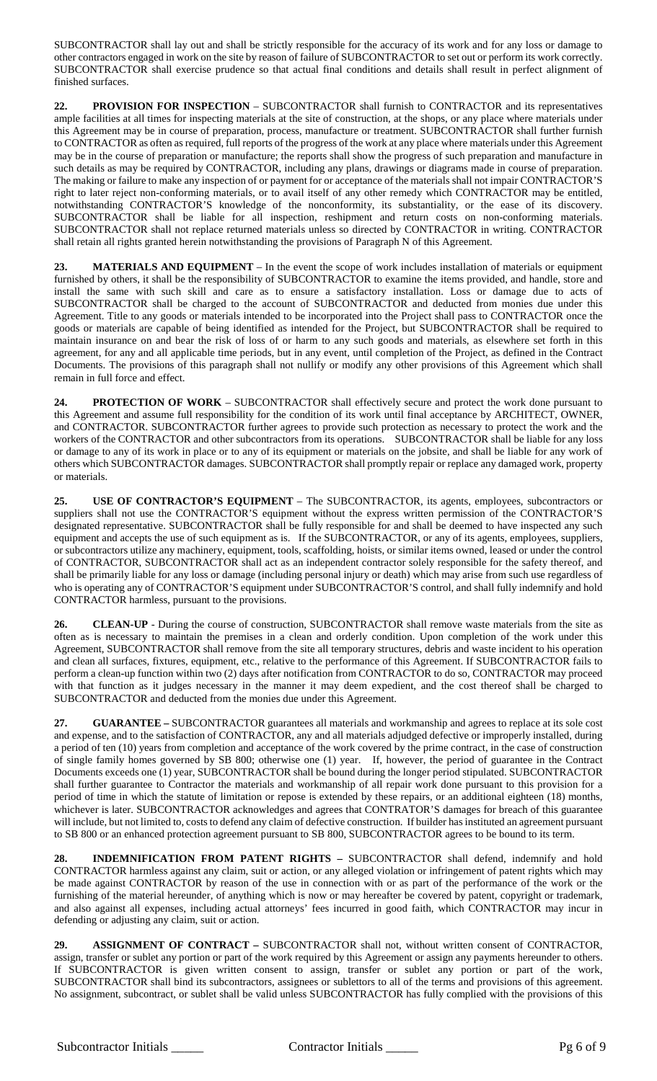SUBCONTRACTOR shall lay out and shall be strictly responsible for the accuracy of its work and for any loss or damage to other contractors engaged in work on the site by reason of failure of SUBCONTRACTOR to set out or perform its work correctly. SUBCONTRACTOR shall exercise prudence so that actual final conditions and details shall result in perfect alignment of finished surfaces.

**22. PROVISION FOR INSPECTION** – SUBCONTRACTOR shall furnish to CONTRACTOR and its representatives ample facilities at all times for inspecting materials at the site of construction, at the shops, or any place where materials under this Agreement may be in course of preparation, process, manufacture or treatment. SUBCONTRACTOR shall further furnish to CONTRACTOR as often as required, full reports of the progress of the work at any place where materials under this Agreement may be in the course of preparation or manufacture; the reports shall show the progress of such preparation and manufacture in such details as may be required by CONTRACTOR, including any plans, drawings or diagrams made in course of preparation. The making or failure to make any inspection of or payment for or acceptance of the materials shall not impair CONTRACTOR'S right to later reject non-conforming materials, or to avail itself of any other remedy which CONTRACTOR may be entitled, notwithstanding CONTRACTOR'S knowledge of the nonconformity, its substantiality, or the ease of its discovery. SUBCONTRACTOR shall be liable for all inspection, reshipment and return costs on non-conforming materials. SUBCONTRACTOR shall not replace returned materials unless so directed by CONTRACTOR in writing. CONTRACTOR shall retain all rights granted herein notwithstanding the provisions of Paragraph N of this Agreement.

**23. MATERIALS AND EQUIPMENT** – In the event the scope of work includes installation of materials or equipment furnished by others, it shall be the responsibility of SUBCONTRACTOR to examine the items provided, and handle, store and install the same with such skill and care as to ensure a satisfactory installation. Loss or damage due to acts of SUBCONTRACTOR shall be charged to the account of SUBCONTRACTOR and deducted from monies due under this Agreement. Title to any goods or materials intended to be incorporated into the Project shall pass to CONTRACTOR once the goods or materials are capable of being identified as intended for the Project, but SUBCONTRACTOR shall be required to maintain insurance on and bear the risk of loss of or harm to any such goods and materials, as elsewhere set forth in this agreement, for any and all applicable time periods, but in any event, until completion of the Project, as defined in the Contract Documents. The provisions of this paragraph shall not nullify or modify any other provisions of this Agreement which shall remain in full force and effect.

**24. PROTECTION OF WORK** – SUBCONTRACTOR shall effectively secure and protect the work done pursuant to this Agreement and assume full responsibility for the condition of its work until final acceptance by ARCHITECT, OWNER, and CONTRACTOR. SUBCONTRACTOR further agrees to provide such protection as necessary to protect the work and the workers of the CONTRACTOR and other subcontractors from its operations. SUBCONTRACTOR shall be liable for any loss or damage to any of its work in place or to any of its equipment or materials on the jobsite, and shall be liable for any work of others which SUBCONTRACTOR damages. SUBCONTRACTOR shall promptly repair or replace any damaged work, property or materials.

**25. USE OF CONTRACTOR'S EQUIPMENT** – The SUBCONTRACTOR, its agents, employees, subcontractors or suppliers shall not use the CONTRACTOR'S equipment without the express written permission of the CONTRACTOR'S designated representative. SUBCONTRACTOR shall be fully responsible for and shall be deemed to have inspected any such equipment and accepts the use of such equipment as is. If the SUBCONTRACTOR, or any of its agents, employees, suppliers, or subcontractors utilize any machinery, equipment, tools, scaffolding, hoists, or similar items owned, leased or under the control of CONTRACTOR, SUBCONTRACTOR shall act as an independent contractor solely responsible for the safety thereof, and shall be primarily liable for any loss or damage (including personal injury or death) which may arise from such use regardless of who is operating any of CONTRACTOR'S equipment under SUBCONTRACTOR'S control, and shall fully indemnify and hold CONTRACTOR harmless, pursuant to the provisions.

26. **CLEAN-UP** - During the course of construction, SUBCONTRACTOR shall remove waste materials from the site as often as is necessary to maintain the premises in a clean and orderly condition. Upon completion of the work under this Agreement, SUBCONTRACTOR shall remove from the site all temporary structures, debris and waste incident to his operation and clean all surfaces, fixtures, equipment, etc., relative to the performance of this Agreement. If SUBCONTRACTOR fails to perform a clean-up function within two (2) days after notification from CONTRACTOR to do so, CONTRACTOR may proceed with that function as it judges necessary in the manner it may deem expedient, and the cost thereof shall be charged to SUBCONTRACTOR and deducted from the monies due under this Agreement.

**27. GUARANTEE –** SUBCONTRACTOR guarantees all materials and workmanship and agrees to replace at its sole cost and expense, and to the satisfaction of CONTRACTOR, any and all materials adjudged defective or improperly installed, during a period of ten (10) years from completion and acceptance of the work covered by the prime contract, in the case of construction of single family homes governed by SB 800; otherwise one (1) year. If, however, the period of guarantee in the Contract Documents exceeds one (1) year, SUBCONTRACTOR shall be bound during the longer period stipulated. SUBCONTRACTOR shall further guarantee to Contractor the materials and workmanship of all repair work done pursuant to this provision for a period of time in which the statute of limitation or repose is extended by these repairs, or an additional eighteen (18) months, whichever is later. SUBCONTRACTOR acknowledges and agrees that CONTRATOR'S damages for breach of this guarantee will include, but not limited to, costs to defend any claim of defective construction. If builder has instituted an agreement pursuant to SB 800 or an enhanced protection agreement pursuant to SB 800, SUBCONTRACTOR agrees to be bound to its term.

**28. INDEMNIFICATION FROM PATENT RIGHTS –** SUBCONTRACTOR shall defend, indemnify and hold CONTRACTOR harmless against any claim, suit or action, or any alleged violation or infringement of patent rights which may be made against CONTRACTOR by reason of the use in connection with or as part of the performance of the work or the furnishing of the material hereunder, of anything which is now or may hereafter be covered by patent, copyright or trademark, and also against all expenses, including actual attorneys' fees incurred in good faith, which CONTRACTOR may incur in defending or adjusting any claim, suit or action.

**29. ASSIGNMENT OF CONTRACT –** SUBCONTRACTOR shall not, without written consent of CONTRACTOR, assign, transfer or sublet any portion or part of the work required by this Agreement or assign any payments hereunder to others. If SUBCONTRACTOR is given written consent to assign, transfer or sublet any portion or part of the work, SUBCONTRACTOR shall bind its subcontractors, assignees or sublettors to all of the terms and provisions of this agreement. No assignment, subcontract, or sublet shall be valid unless SUBCONTRACTOR has fully complied with the provisions of this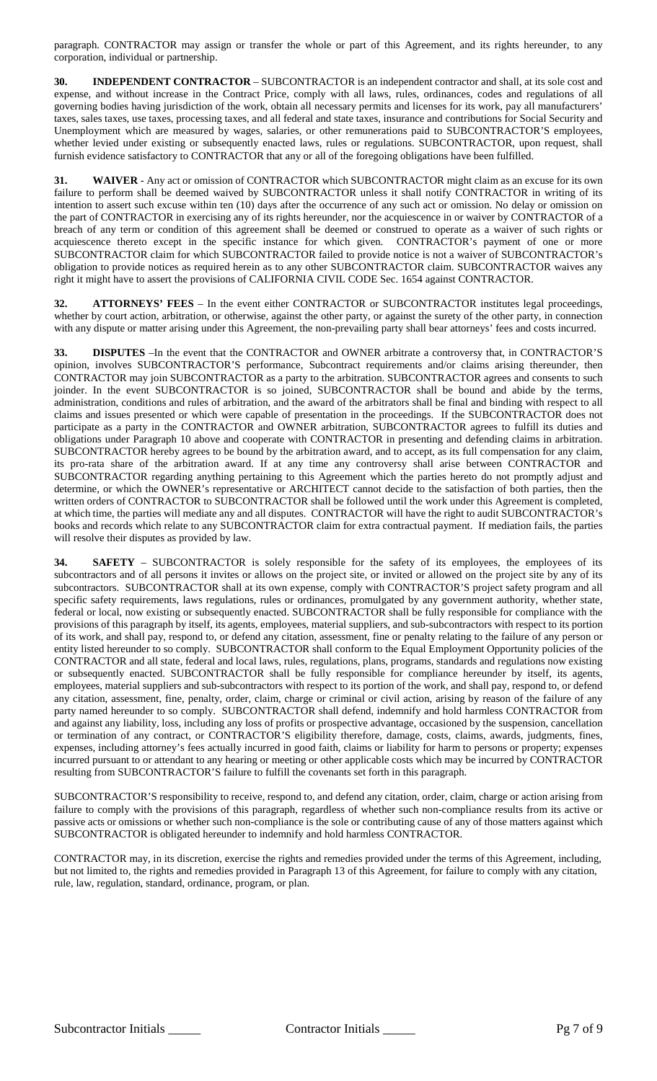paragraph. CONTRACTOR may assign or transfer the whole or part of this Agreement, and its rights hereunder, to any corporation, individual or partnership.

**30. INDEPENDENT CONTRACTOR** – SUBCONTRACTOR is an independent contractor and shall, at its sole cost and expense, and without increase in the Contract Price, comply with all laws, rules, ordinances, codes and regulations of all governing bodies having jurisdiction of the work, obtain all necessary permits and licenses for its work, pay all manufacturers' taxes, sales taxes, use taxes, processing taxes, and all federal and state taxes, insurance and contributions for Social Security and Unemployment which are measured by wages, salaries, or other remunerations paid to SUBCONTRACTOR'S employees, whether levied under existing or subsequently enacted laws, rules or regulations. SUBCONTRACTOR, upon request, shall furnish evidence satisfactory to CONTRACTOR that any or all of the foregoing obligations have been fulfilled.

**31. WAIVER** - Any act or omission of CONTRACTOR which SUBCONTRACTOR might claim as an excuse for its own failure to perform shall be deemed waived by SUBCONTRACTOR unless it shall notify CONTRACTOR in writing of its intention to assert such excuse within ten (10) days after the occurrence of any such act or omission. No delay or omission on the part of CONTRACTOR in exercising any of its rights hereunder, nor the acquiescence in or waiver by CONTRACTOR of a breach of any term or condition of this agreement shall be deemed or construed to operate as a waiver of such rights or acquiescence thereto except in the specific instance for which given. CONTRACTOR's payment of one or more SUBCONTRACTOR claim for which SUBCONTRACTOR failed to provide notice is not a waiver of SUBCONTRACTOR's obligation to provide notices as required herein as to any other SUBCONTRACTOR claim. SUBCONTRACTOR waives any right it might have to assert the provisions of CALIFORNIA CIVIL CODE Sec. 1654 against CONTRACTOR.

**32. ATTORNEYS' FEES** – In the event either CONTRACTOR or SUBCONTRACTOR institutes legal proceedings, whether by court action, arbitration, or otherwise, against the other party, or against the surety of the other party, in connection with any dispute or matter arising under this Agreement, the non-prevailing party shall bear attorneys' fees and costs incurred.

**33. DISPUTES** –In the event that the CONTRACTOR and OWNER arbitrate a controversy that, in CONTRACTOR'S opinion, involves SUBCONTRACTOR'S performance, Subcontract requirements and/or claims arising thereunder, then CONTRACTOR may join SUBCONTRACTOR as a party to the arbitration. SUBCONTRACTOR agrees and consents to such joinder. In the event SUBCONTRACTOR is so joined, SUBCONTRACTOR shall be bound and abide by the terms, administration, conditions and rules of arbitration, and the award of the arbitrators shall be final and binding with respect to all claims and issues presented or which were capable of presentation in the proceedings. If the SUBCONTRACTOR does not participate as a party in the CONTRACTOR and OWNER arbitration, SUBCONTRACTOR agrees to fulfill its duties and obligations under Paragraph 10 above and cooperate with CONTRACTOR in presenting and defending claims in arbitration. SUBCONTRACTOR hereby agrees to be bound by the arbitration award, and to accept, as its full compensation for any claim, its pro-rata share of the arbitration award. If at any time any controversy shall arise between CONTRACTOR and SUBCONTRACTOR regarding anything pertaining to this Agreement which the parties hereto do not promptly adjust and determine, or which the OWNER's representative or ARCHITECT cannot decide to the satisfaction of both parties, then the written orders of CONTRACTOR to SUBCONTRACTOR shall be followed until the work under this Agreement is completed, at which time, the parties will mediate any and all disputes. CONTRACTOR will have the right to audit SUBCONTRACTOR's books and records which relate to any SUBCONTRACTOR claim for extra contractual payment. If mediation fails, the parties will resolve their disputes as provided by law.

**34. SAFETY** – SUBCONTRACTOR is solely responsible for the safety of its employees, the employees of its subcontractors and of all persons it invites or allows on the project site, or invited or allowed on the project site by any of its subcontractors. SUBCONTRACTOR shall at its own expense, comply with CONTRACTOR'S project safety program and all specific safety requirements, laws regulations, rules or ordinances, promulgated by any government authority, whether state, federal or local, now existing or subsequently enacted. SUBCONTRACTOR shall be fully responsible for compliance with the provisions of this paragraph by itself, its agents, employees, material suppliers, and sub-subcontractors with respect to its portion of its work, and shall pay, respond to, or defend any citation, assessment, fine or penalty relating to the failure of any person or entity listed hereunder to so comply. SUBCONTRACTOR shall conform to the Equal Employment Opportunity policies of the CONTRACTOR and all state, federal and local laws, rules, regulations, plans, programs, standards and regulations now existing or subsequently enacted. SUBCONTRACTOR shall be fully responsible for compliance hereunder by itself, its agents, employees, material suppliers and sub-subcontractors with respect to its portion of the work, and shall pay, respond to, or defend any citation, assessment, fine, penalty, order, claim, charge or criminal or civil action, arising by reason of the failure of any party named hereunder to so comply. SUBCONTRACTOR shall defend, indemnify and hold harmless CONTRACTOR from and against any liability, loss, including any loss of profits or prospective advantage, occasioned by the suspension, cancellation or termination of any contract, or CONTRACTOR'S eligibility therefore, damage, costs, claims, awards, judgments, fines, expenses, including attorney's fees actually incurred in good faith, claims or liability for harm to persons or property; expenses incurred pursuant to or attendant to any hearing or meeting or other applicable costs which may be incurred by CONTRACTOR resulting from SUBCONTRACTOR'S failure to fulfill the covenants set forth in this paragraph.

SUBCONTRACTOR'S responsibility to receive, respond to, and defend any citation, order, claim, charge or action arising from failure to comply with the provisions of this paragraph, regardless of whether such non-compliance results from its active or passive acts or omissions or whether such non-compliance is the sole or contributing cause of any of those matters against which SUBCONTRACTOR is obligated hereunder to indemnify and hold harmless CONTRACTOR.

CONTRACTOR may, in its discretion, exercise the rights and remedies provided under the terms of this Agreement, including, but not limited to, the rights and remedies provided in Paragraph 13 of this Agreement, for failure to comply with any citation, rule, law, regulation, standard, ordinance, program, or plan.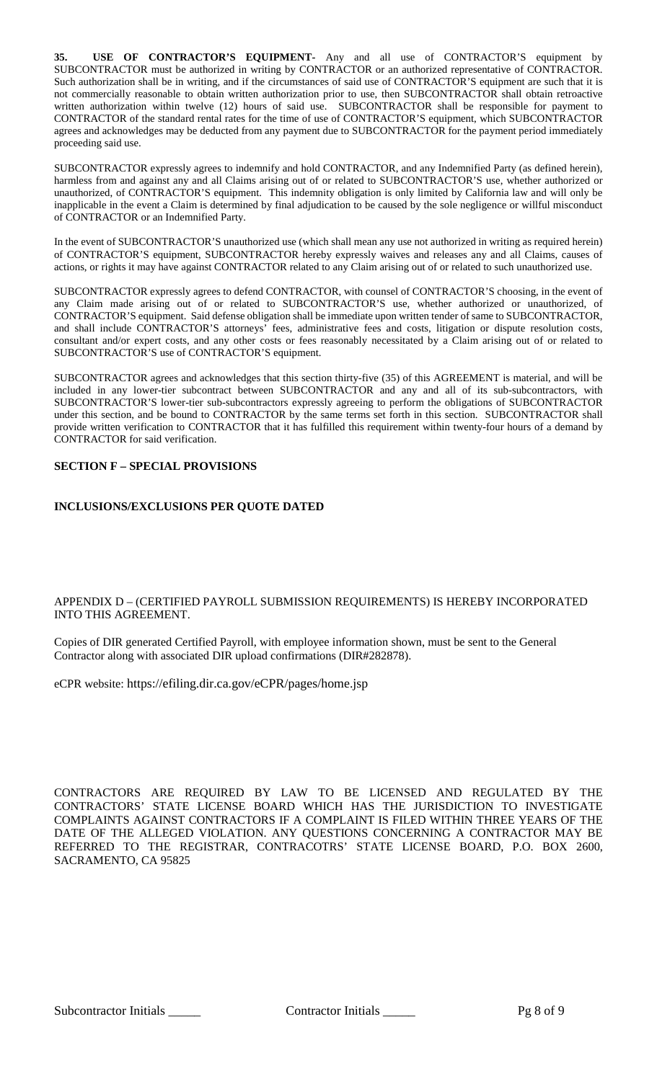**35. USE OF CONTRACTOR'S EQUIPMENT-** Any and all use of CONTRACTOR'S equipment by SUBCONTRACTOR must be authorized in writing by CONTRACTOR or an authorized representative of CONTRACTOR. Such authorization shall be in writing, and if the circumstances of said use of CONTRACTOR'S equipment are such that it is not commercially reasonable to obtain written authorization prior to use, then SUBCONTRACTOR shall obtain retroactive written authorization within twelve (12) hours of said use. SUBCONTRACTOR shall be responsible for payment to CONTRACTOR of the standard rental rates for the time of use of CONTRACTOR'S equipment, which SUBCONTRACTOR agrees and acknowledges may be deducted from any payment due to SUBCONTRACTOR for the payment period immediately proceeding said use.

SUBCONTRACTOR expressly agrees to indemnify and hold CONTRACTOR, and any Indemnified Party (as defined herein), harmless from and against any and all Claims arising out of or related to SUBCONTRACTOR'S use, whether authorized or unauthorized, of CONTRACTOR'S equipment. This indemnity obligation is only limited by California law and will only be inapplicable in the event a Claim is determined by final adjudication to be caused by the sole negligence or willful misconduct of CONTRACTOR or an Indemnified Party.

In the event of SUBCONTRACTOR'S unauthorized use (which shall mean any use not authorized in writing as required herein) of CONTRACTOR'S equipment, SUBCONTRACTOR hereby expressly waives and releases any and all Claims, causes of actions, or rights it may have against CONTRACTOR related to any Claim arising out of or related to such unauthorized use.

SUBCONTRACTOR expressly agrees to defend CONTRACTOR, with counsel of CONTRACTOR'S choosing, in the event of any Claim made arising out of or related to SUBCONTRACTOR'S use, whether authorized or unauthorized, of CONTRACTOR'S equipment. Said defense obligation shall be immediate upon written tender of same to SUBCONTRACTOR, and shall include CONTRACTOR'S attorneys' fees, administrative fees and costs, litigation or dispute resolution costs, consultant and/or expert costs, and any other costs or fees reasonably necessitated by a Claim arising out of or related to SUBCONTRACTOR'S use of CONTRACTOR'S equipment.

SUBCONTRACTOR agrees and acknowledges that this section thirty-five (35) of this AGREEMENT is material, and will be included in any lower-tier subcontract between SUBCONTRACTOR and any and all of its sub-subcontractors, with SUBCONTRACTOR'S lower-tier sub-subcontractors expressly agreeing to perform the obligations of SUBCONTRACTOR under this section, and be bound to CONTRACTOR by the same terms set forth in this section. SUBCONTRACTOR shall provide written verification to CONTRACTOR that it has fulfilled this requirement within twenty-four hours of a demand by CONTRACTOR for said verification.

# **SECTION F – SPECIAL PROVISIONS**

## **INCLUSIONS/EXCLUSIONS PER QUOTE DATED**

## APPENDIX D – (CERTIFIED PAYROLL SUBMISSION REQUIREMENTS) IS HEREBY INCORPORATED INTO THIS AGREEMENT.

Copies of DIR generated Certified Payroll, with employee information shown, must be sent to the General Contractor along with associated DIR upload confirmations (DIR#282878).

eCPR website: https://efiling.dir.ca.gov/eCPR/pages/home.jsp

CONTRACTORS ARE REQUIRED BY LAW TO BE LICENSED AND REGULATED BY THE CONTRACTORS' STATE LICENSE BOARD WHICH HAS THE JURISDICTION TO INVESTIGATE COMPLAINTS AGAINST CONTRACTORS IF A COMPLAINT IS FILED WITHIN THREE YEARS OF THE DATE OF THE ALLEGED VIOLATION. ANY QUESTIONS CONCERNING A CONTRACTOR MAY BE REFERRED TO THE REGISTRAR, CONTRACOTRS' STATE LICENSE BOARD, P.O. BOX 2600, SACRAMENTO, CA 95825